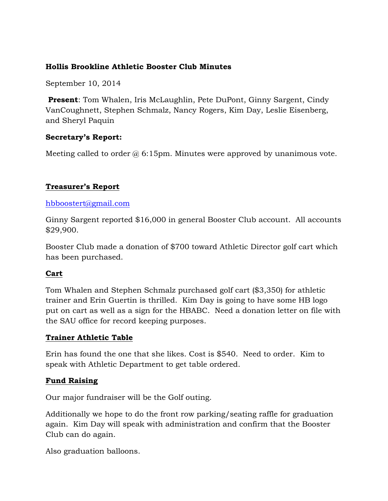#### **Hollis Brookline Athletic Booster Club Minutes**

September 10, 2014

**Present**: Tom Whalen, Iris McLaughlin, Pete DuPont, Ginny Sargent, Cindy VanCoughnett, Stephen Schmalz, Nancy Rogers, Kim Day, Leslie Eisenberg, and Sheryl Paquin

## **Secretary's Report:**

Meeting called to order  $\omega$  6:15pm. Minutes were approved by unanimous vote.

# **Treasurer's Report**

#### hbboostert@gmail.com

Ginny Sargent reported \$16,000 in general Booster Club account. All accounts \$29,900.

Booster Club made a donation of \$700 toward Athletic Director golf cart which has been purchased.

#### **Cart**

Tom Whalen and Stephen Schmalz purchased golf cart (\$3,350) for athletic trainer and Erin Guertin is thrilled. Kim Day is going to have some HB logo put on cart as well as a sign for the HBABC. Need a donation letter on file with the SAU office for record keeping purposes.

#### **Trainer Athletic Table**

Erin has found the one that she likes. Cost is \$540. Need to order. Kim to speak with Athletic Department to get table ordered.

#### **Fund Raising**

Our major fundraiser will be the Golf outing.

Additionally we hope to do the front row parking/seating raffle for graduation again. Kim Day will speak with administration and confirm that the Booster Club can do again.

Also graduation balloons.